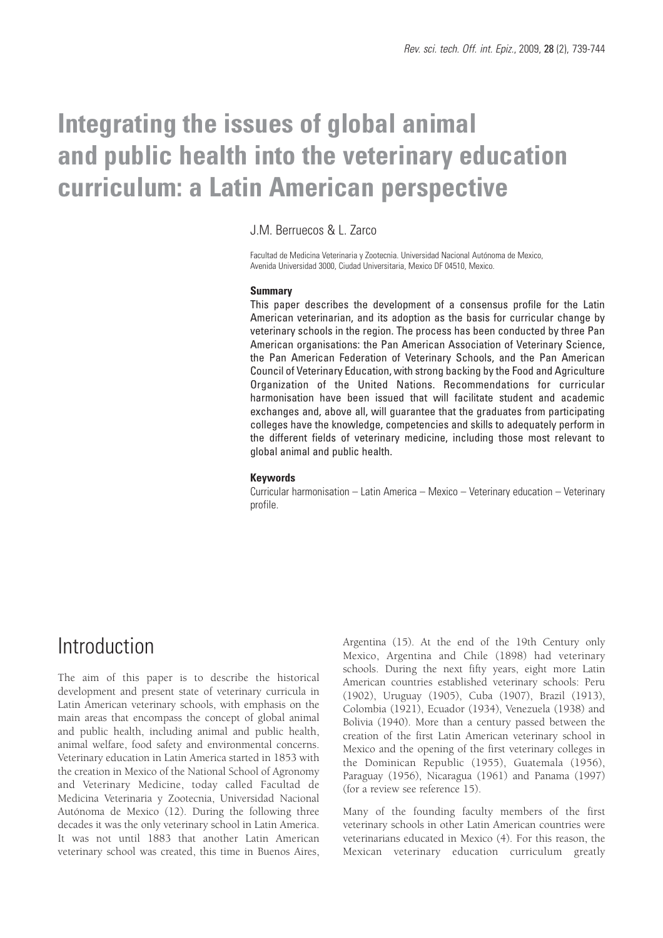# **Integrating the issues of global animal and public health into the veterinary education curriculum: a Latin American perspective**

J.M. Berruecos & L. Zarco

Facultad de Medicina Veterinaria y Zootecnia. Universidad Nacional Autónoma de Mexico, Avenida Universidad 3000, Ciudad Universitaria, Mexico DF 04510, Mexico.

#### **Summary**

This paper describes the development of a consensus profile for the Latin American veterinarian, and its adoption as the basis for curricular change by veterinary schools in the region. The process has been conducted by three Pan American organisations: the Pan American Association of Veterinary Science, the Pan American Federation of Veterinary Schools, and the Pan American Council of Veterinary Education, with strong backing by the Food and Agriculture Organization of the United Nations. Recommendations for curricular harmonisation have been issued that will facilitate student and academic exchanges and, above all, will guarantee that the graduates from participating colleges have the knowledge, competencies and skills to adequately perform in the different fields of veterinary medicine, including those most relevant to global animal and public health.

#### **Keywords**

Curricular harmonisation – Latin America – Mexico – Veterinary education – Veterinary profile.

### Introduction

The aim of this paper is to describe the historical development and present state of veterinary curricula in Latin American veterinary schools, with emphasis on the main areas that encompass the concept of global animal and public health, including animal and public health, animal welfare, food safety and environmental concerns. Veterinary education in Latin America started in 1853 with the creation in Mexico of the National School of Agronomy and Veterinary Medicine, today called Facultad de Medicina Veterinaria y Zootecnia, Universidad Nacional Autónoma de Mexico (12). During the following three decades it was the only veterinary school in Latin America. It was not until 1883 that another Latin American veterinary school was created, this time in Buenos Aires,

Argentina (15). At the end of the 19th Century only Mexico, Argentina and Chile (1898) had veterinary schools. During the next fifty years, eight more Latin American countries established veterinary schools: Peru (1902), Uruguay (1905), Cuba (1907), Brazil (1913), Colombia (1921), Ecuador (1934), Venezuela (1938) and Bolivia (1940). More than a century passed between the creation of the first Latin American veterinary school in Mexico and the opening of the first veterinary colleges in the Dominican Republic (1955), Guatemala (1956), Paraguay (1956), Nicaragua (1961) and Panama (1997) (for a review see reference 15).

Many of the founding faculty members of the first veterinary schools in other Latin American countries were veterinarians educated in Mexico (4). For this reason, the Mexican veterinary education curriculum greatly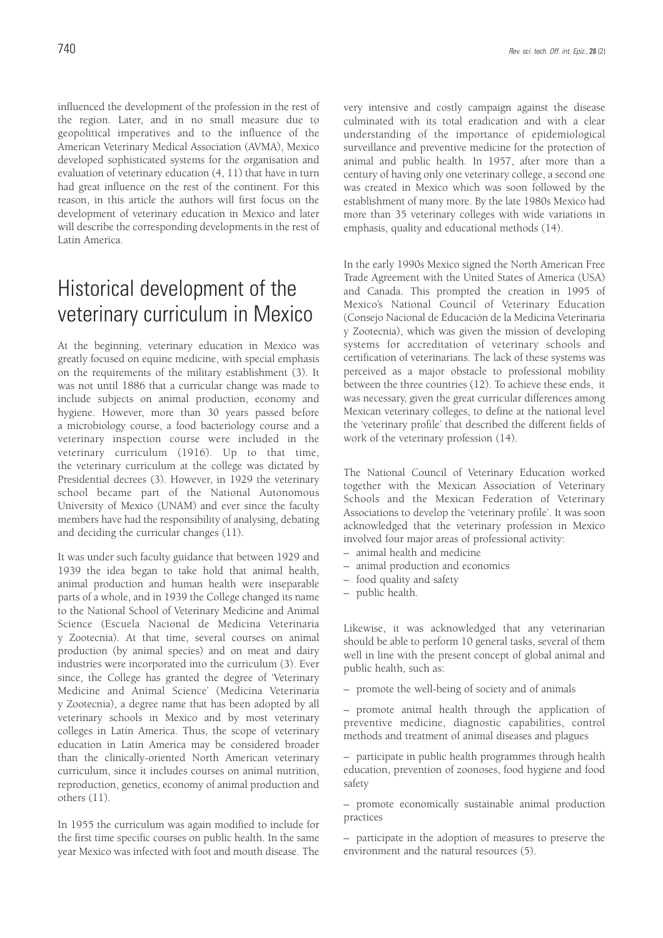influenced the development of the profession in the rest of the region. Later, and in no small measure due to geopolitical imperatives and to the influence of the American Veterinary Medical Association (AVMA), Mexico developed sophisticated systems for the organisation and evaluation of veterinary education (4, 11) that have in turn had great influence on the rest of the continent. For this reason, in this article the authors will first focus on the development of veterinary education in Mexico and later will describe the corresponding developments in the rest of Latin America.

### Historical development of the veterinary curriculum in Mexico

At the beginning, veterinary education in Mexico was greatly focused on equine medicine, with special emphasis on the requirements of the military establishment (3). It was not until 1886 that a curricular change was made to include subjects on animal production, economy and hygiene. However, more than 30 years passed before a microbiology course, a food bacteriology course and a veterinary inspection course were included in the veterinary curriculum (1916). Up to that time, the veterinary curriculum at the college was dictated by Presidential decrees (3). However, in 1929 the veterinary school became part of the National Autonomous University of Mexico (UNAM) and ever since the faculty members have had the responsibility of analysing, debating and deciding the curricular changes (11).

It was under such faculty guidance that between 1929 and 1939 the idea began to take hold that animal health, animal production and human health were inseparable parts of a whole, and in 1939 the College changed its name to the National School of Veterinary Medicine and Animal Science (Escuela Nacional de Medicina Veterinaria y Zootecnia). At that time, several courses on animal production (by animal species) and on meat and dairy industries were incorporated into the curriculum (3). Ever since, the College has granted the degree of 'Veterinary Medicine and Animal Science' (Medicina Veterinaria y Zootecnia), a degree name that has been adopted by all veterinary schools in Mexico and by most veterinary colleges in Latin America. Thus, the scope of veterinary education in Latin America may be considered broader than the clinically-oriented North American veterinary curriculum, since it includes courses on animal nutrition, reproduction, genetics, economy of animal production and others (11).

In 1955 the curriculum was again modified to include for the first time specific courses on public health. In the same year Mexico was infected with foot and mouth disease. The very intensive and costly campaign against the disease culminated with its total eradication and with a clear understanding of the importance of epidemiological surveillance and preventive medicine for the protection of animal and public health. In 1957, after more than a century of having only one veterinary college, a second one was created in Mexico which was soon followed by the establishment of many more. By the late 1980s Mexico had more than 35 veterinary colleges with wide variations in emphasis, quality and educational methods (14).

In the early 1990s Mexico signed the North American Free Trade Agreement with the United States of America (USA) and Canada. This prompted the creation in 1995 of Mexico's National Council of Veterinary Education (Consejo Nacional de Educación de la Medicina Veterinaria y Zootecnia), which was given the mission of developing systems for accreditation of veterinary schools and certification of veterinarians. The lack of these systems was perceived as a major obstacle to professional mobility between the three countries (12). To achieve these ends, it was necessary, given the great curricular differences among Mexican veterinary colleges, to define at the national level the 'veterinary profile' that described the different fields of work of the veterinary profession (14).

The National Council of Veterinary Education worked together with the Mexican Association of Veterinary Schools and the Mexican Federation of Veterinary Associations to develop the 'veterinary profile'. It was soon acknowledged that the veterinary profession in Mexico involved four major areas of professional activity:

- animal health and medicine
- animal production and economics
- food quality and safety
- public health.

Likewise, it was acknowledged that any veterinarian should be able to perform 10 general tasks, several of them well in line with the present concept of global animal and public health, such as:

– promote the well-being of society and of animals

– promote animal health through the application of preventive medicine, diagnostic capabilities, control methods and treatment of animal diseases and plagues

– participate in public health programmes through health education, prevention of zoonoses, food hygiene and food safety

– promote economically sustainable animal production practices

– participate in the adoption of measures to preserve the environment and the natural resources (5).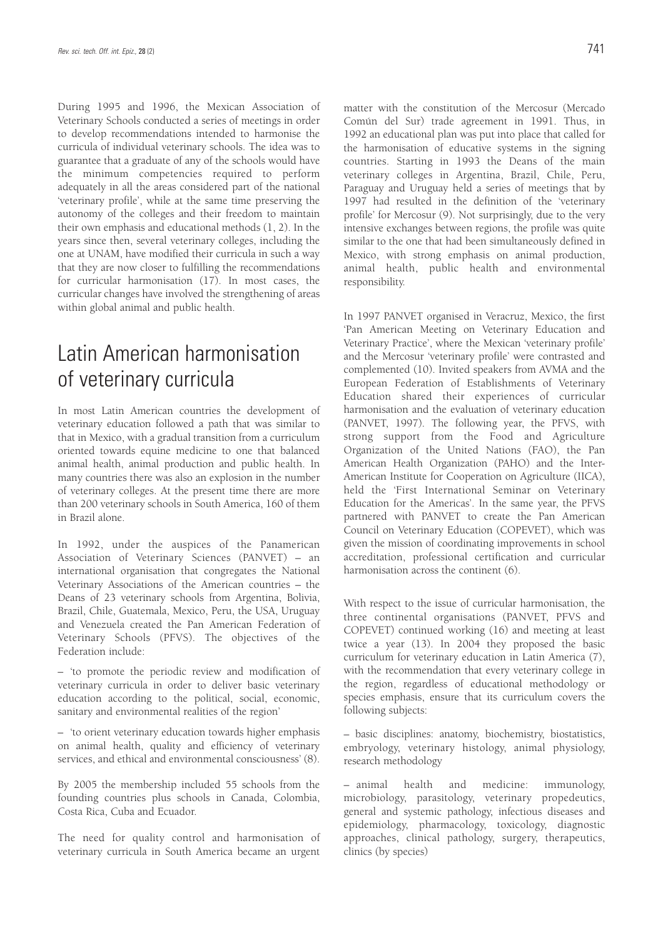During 1995 and 1996, the Mexican Association of Veterinary Schools conducted a series of meetings in order to develop recommendations intended to harmonise the curricula of individual veterinary schools. The idea was to guarantee that a graduate of any of the schools would have the minimum competencies required to perform adequately in all the areas considered part of the national 'veterinary profile', while at the same time preserving the autonomy of the colleges and their freedom to maintain their own emphasis and educational methods (1, 2). In the years since then, several veterinary colleges, including the one at UNAM, have modified their curricula in such a way that they are now closer to fulfilling the recommendations for curricular harmonisation (17). In most cases, the curricular changes have involved the strengthening of areas within global animal and public health.

### Latin American harmonisation of veterinary curricula

In most Latin American countries the development of veterinary education followed a path that was similar to that in Mexico, with a gradual transition from a curriculum oriented towards equine medicine to one that balanced animal health, animal production and public health. In many countries there was also an explosion in the number of veterinary colleges. At the present time there are more than 200 veterinary schools in South America, 160 of them in Brazil alone.

In 1992, under the auspices of the Panamerican Association of Veterinary Sciences (PANVET) – an international organisation that congregates the National Veterinary Associations of the American countries – the Deans of 23 veterinary schools from Argentina, Bolivia, Brazil, Chile, Guatemala, Mexico, Peru, the USA, Uruguay and Venezuela created the Pan American Federation of Veterinary Schools (PFVS). The objectives of the Federation include:

– 'to promote the periodic review and modification of veterinary curricula in order to deliver basic veterinary education according to the political, social, economic, sanitary and environmental realities of the region'

– 'to orient veterinary education towards higher emphasis on animal health, quality and efficiency of veterinary services, and ethical and environmental consciousness' (8).

By 2005 the membership included 55 schools from the founding countries plus schools in Canada, Colombia, Costa Rica, Cuba and Ecuador.

The need for quality control and harmonisation of veterinary curricula in South America became an urgent

matter with the constitution of the Mercosur (Mercado Común del Sur) trade agreement in 1991. Thus, in 1992 an educational plan was put into place that called for the harmonisation of educative systems in the signing countries. Starting in 1993 the Deans of the main veterinary colleges in Argentina, Brazil, Chile, Peru, Paraguay and Uruguay held a series of meetings that by 1997 had resulted in the definition of the 'veterinary profile' for Mercosur (9). Not surprisingly, due to the very intensive exchanges between regions, the profile was quite similar to the one that had been simultaneously defined in Mexico, with strong emphasis on animal production, animal health, public health and environmental responsibility.

In 1997 PANVET organised in Veracruz, Mexico, the first 'Pan American Meeting on Veterinary Education and Veterinary Practice', where the Mexican 'veterinary profile' and the Mercosur 'veterinary profile' were contrasted and complemented (10). Invited speakers from AVMA and the European Federation of Establishments of Veterinary Education shared their experiences of curricular harmonisation and the evaluation of veterinary education (PANVET, 1997). The following year, the PFVS, with strong support from the Food and Agriculture Organization of the United Nations (FAO), the Pan American Health Organization (PAHO) and the Inter-American Institute for Cooperation on Agriculture (IICA), held the 'First International Seminar on Veterinary Education for the Americas'. In the same year, the PFVS partnered with PANVET to create the Pan American Council on Veterinary Education (COPEVET), which was given the mission of coordinating improvements in school accreditation, professional certification and curricular harmonisation across the continent (6).

With respect to the issue of curricular harmonisation, the three continental organisations (PANVET, PFVS and COPEVET) continued working (16) and meeting at least twice a year (13). In 2004 they proposed the basic curriculum for veterinary education in Latin America (7), with the recommendation that every veterinary college in the region, regardless of educational methodology or species emphasis, ensure that its curriculum covers the following subjects:

– basic disciplines: anatomy, biochemistry, biostatistics, embryology, veterinary histology, animal physiology, research methodology

– animal health and medicine: immunology, microbiology, parasitology, veterinary propedeutics, general and systemic pathology, infectious diseases and epidemiology, pharmacology, toxicology, diagnostic approaches, clinical pathology, surgery, therapeutics, clinics (by species)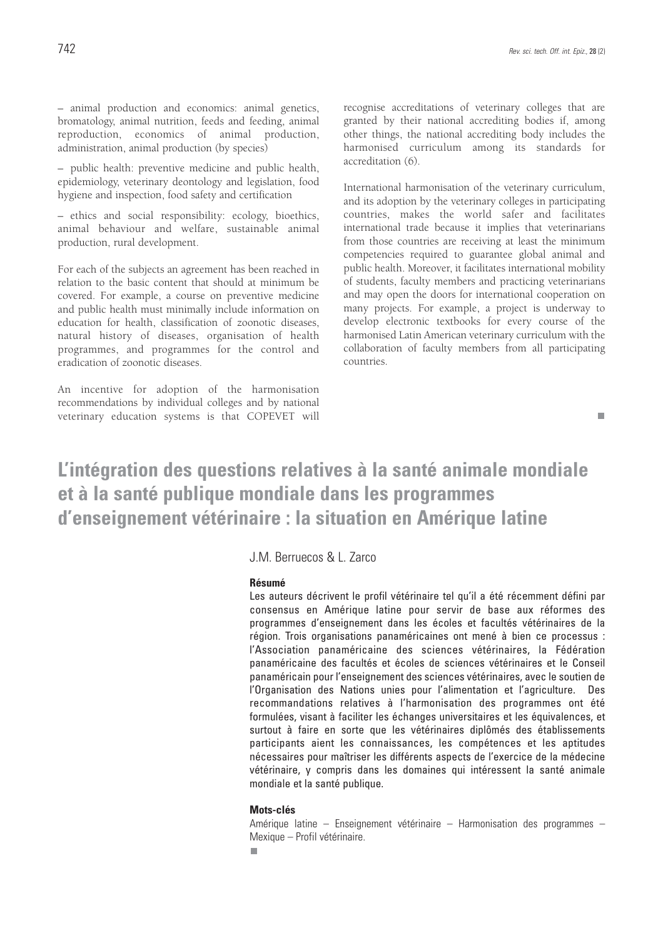– animal production and economics: animal genetics, bromatology, animal nutrition, feeds and feeding, animal reproduction, economics of animal production, administration, animal production (by species)

– public health: preventive medicine and public health, epidemiology, veterinary deontology and legislation, food hygiene and inspection, food safety and certification

– ethics and social responsibility: ecology, bioethics, animal behaviour and welfare, sustainable animal production, rural development.

For each of the subjects an agreement has been reached in relation to the basic content that should at minimum be covered. For example, a course on preventive medicine and public health must minimally include information on education for health, classification of zoonotic diseases, natural history of diseases, organisation of health programmes, and programmes for the control and eradication of zoonotic diseases.

An incentive for adoption of the harmonisation recommendations by individual colleges and by national veterinary education systems is that COPEVET will recognise accreditations of veterinary colleges that are granted by their national accrediting bodies if, among other things, the national accrediting body includes the harmonised curriculum among its standards for accreditation (6).

International harmonisation of the veterinary curriculum, and its adoption by the veterinary colleges in participating countries, makes the world safer and facilitates international trade because it implies that veterinarians from those countries are receiving at least the minimum competencies required to guarantee global animal and public health. Moreover, it facilitates international mobility of students, faculty members and practicing veterinarians and may open the doors for international cooperation on many projects. For example, a project is underway to develop electronic textbooks for every course of the harmonised Latin American veterinary curriculum with the collaboration of faculty members from all participating countries.

п

### **L'intégration des questions relatives à la santé animale mondiale et à la santé publique mondiale dans les programmes d'enseignement vétérinaire : la situation en Amérique latine**

J.M. Berruecos & L. Zarco

#### **Résumé**

Les auteurs décrivent le profil vétérinaire tel qu'il a été récemment défini par consensus en Amérique latine pour servir de base aux réformes des programmes d'enseignement dans les écoles et facultés vétérinaires de la région. Trois organisations panaméricaines ont mené à bien ce processus : l'Association panaméricaine des sciences vétérinaires, la Fédération panaméricaine des facultés et écoles de sciences vétérinaires et le Conseil panaméricain pour l'enseignement des sciences vétérinaires, avec le soutien de l'Organisation des Nations unies pour l'alimentation et l'agriculture. Des recommandations relatives à l'harmonisation des programmes ont été formulées, visant à faciliter les échanges universitaires et les équivalences, et surtout à faire en sorte que les vétérinaires diplômés des établissements participants aient les connaissances, les compétences et les aptitudes nécessaires pour maîtriser les différents aspects de l'exercice de la médecine vétérinaire, y compris dans les domaines qui intéressent la santé animale mondiale et la santé publique.

#### **Mots-clés**

Amérique latine – Enseignement vétérinaire – Harmonisation des programmes – Mexique – Profil vétérinaire.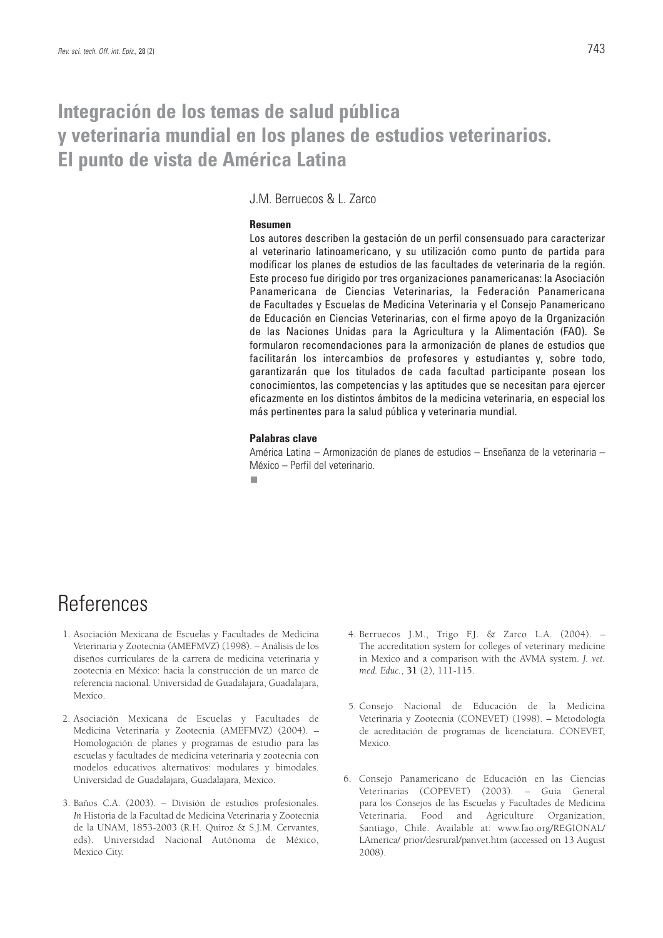### **Integración de los temas de salud pública y veterinaria mundial en los planes de estudios veterinarios. El punto de vista de América Latina**

### J.M. Berruecos & L. Zarco

#### **Resumen**

Los autores describen la gestación de un perfil consensuado para caracterizar al veterinario latinoamericano, y su utilización como punto de partida para modificar los planes de estudios de las facultades de veterinaria de la región. Este proceso fue dirigido por tres organizaciones panamericanas: la Asociación Panamericana de Ciencias Veterinarias, la Federación Panamericana de Facultades y Escuelas de Medicina Veterinaria y el Consejo Panamericano de Educación en Ciencias Veterinarias, con el firme apoyo de la Organización de las Naciones Unidas para la Agricultura y la Alimentación (FAO). Se formularon recomendaciones para la armonización de planes de estudios que facilitarán los intercambios de profesores y estudiantes y, sobre todo, garantizarán que los titulados de cada facultad participante posean los conocimientos, las competencias y las aptitudes que se necesitan para ejercer eficazmente en los distintos ámbitos de la medicina veterinaria, en especial los más pertinentes para la salud pública y veterinaria mundial.

#### **Palabras clave**

América Latina – Armonización de planes de estudios – Enseñanza de la veterinaria – México – Perfil del veterinario.

п

## References

- 1. Asociación Mexicana de Escuelas y Facultades de Medicina Veterinaria y Zootecnia (AMEFMVZ) (1998). – Análisis de los diseños curriculares de la carrera de medicina veterinaria y zootecnia en México: hacia la construcción de un marco de referencia nacional. Universidad de Guadalajara, Guadalajara, Mexico.
- 2. Asociación Mexicana de Escuelas y Facultades de Medicina Veterinaria y Zootecnia (AMEFMVZ) (2004). – Homologación de planes y programas de estudio para las escuelas y facultades de medicina veterinaria y zootecnia con modelos educativos alternativos: modulares y bimodales. Universidad de Guadalajara, Guadalajara, Mexico.
- 3. Baños C.A. (2003). División de estudios profesionales. *In* Historia de la Facultad de Medicina Veterinaria y Zootecnia de la UNAM, 1853-2003 (R.H. Quiroz & S.J.M. Cervantes, eds). Universidad Nacional Autónoma de México, Mexico City.
- 4. Berruecos J.M., Trigo F.J. & Zarco L.A. (2004). The accreditation system for colleges of veterinary medicine in Mexico and a comparison with the AVMA system. *J. vet. med. Educ.*, **31** (2), 111-115.
- 5. Consejo Nacional de Educación de la Medicina Veterinaria y Zootecnia (CONEVET) (1998). – Metodología de acreditación de programas de licenciatura. CONEVET, Mexico.
- 6. Consejo Panamericano de Educación en las Ciencias Veterinarias (COPEVET) (2003). – Guía General para los Consejos de las Escuelas y Facultades de Medicina Veterinaria. Food and Agriculture Organization, Santiago, Chile. Available at: www.fao.org/REGIONAL/ LAmerica/ prior/desrural/panvet.htm (accessed on 13 August 2008).